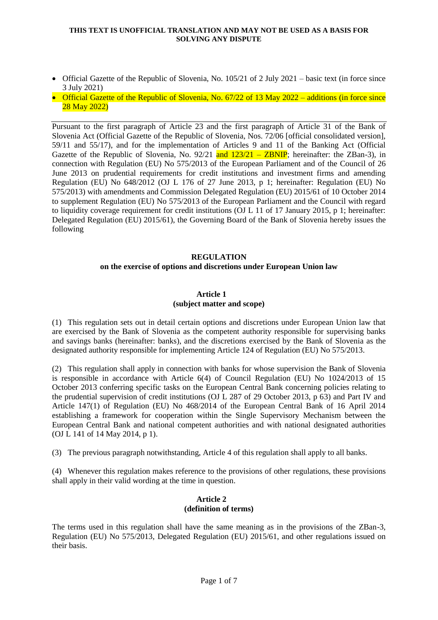- Official Gazette of the Republic of Slovenia, No. 105/21 of 2 July 2021 basic text (in force since 3 July 2021)
- Official Gazette of the Republic of Slovenia, No.  $67/22$  of 13 May 2022 additions (in force since 28 May 2022)

Pursuant to the first paragraph of Article 23 and the first paragraph of Article 31 of the Bank of Slovenia Act (Official Gazette of the Republic of Slovenia, Nos. 72/06 [official consolidated version], 59/11 and 55/17), and for the implementation of Articles 9 and 11 of the Banking Act (Official Gazette of the Republic of Slovenia, No.  $92/21$  and  $123/21 - ZBNIP$ ; hereinafter: the ZBan-3), in connection with Regulation (EU) No 575/2013 of the European Parliament and of the Council of 26 June 2013 on prudential requirements for credit institutions and investment firms and amending Regulation (EU) No 648/2012 (OJ L 176 of 27 June 2013, p 1; hereinafter: Regulation (EU) No 575/2013) with amendments and Commission Delegated Regulation (EU) 2015/61 of 10 October 2014 to supplement Regulation (EU) No 575/2013 of the European Parliament and the Council with regard to liquidity coverage requirement for credit institutions (OJ L 11 of 17 January 2015, p 1; hereinafter: Delegated Regulation (EU) 2015/61), the Governing Board of the Bank of Slovenia hereby issues the following

# **REGULATION on the exercise of options and discretions under European Union law**

### **Article 1 (subject matter and scope)**

(1) This regulation sets out in detail certain options and discretions under European Union law that are exercised by the Bank of Slovenia as the competent authority responsible for supervising banks and savings banks (hereinafter: banks), and the discretions exercised by the Bank of Slovenia as the designated authority responsible for implementing Article 124 of Regulation (EU) No 575/2013.

(2) This regulation shall apply in connection with banks for whose supervision the Bank of Slovenia is responsible in accordance with Article 6(4) of Council Regulation (EU) No 1024/2013 of 15 October 2013 conferring specific tasks on the European Central Bank concerning policies relating to the prudential supervision of credit institutions (OJ L 287 of 29 October 2013, p 63) and Part IV and Article 147(1) of Regulation (EU) No 468/2014 of the European Central Bank of 16 April 2014 establishing a framework for cooperation within the Single Supervisory Mechanism between the European Central Bank and national competent authorities and with national designated authorities (OJ L 141 of 14 May 2014, p 1).

(3) The previous paragraph notwithstanding, Article 4 of this regulation shall apply to all banks.

(4) Whenever this regulation makes reference to the provisions of other regulations, these provisions shall apply in their valid wording at the time in question.

# **Article 2 (definition of terms)**

The terms used in this regulation shall have the same meaning as in the provisions of the ZBan-3, Regulation (EU) No 575/2013, Delegated Regulation (EU) 2015/61, and other regulations issued on their basis.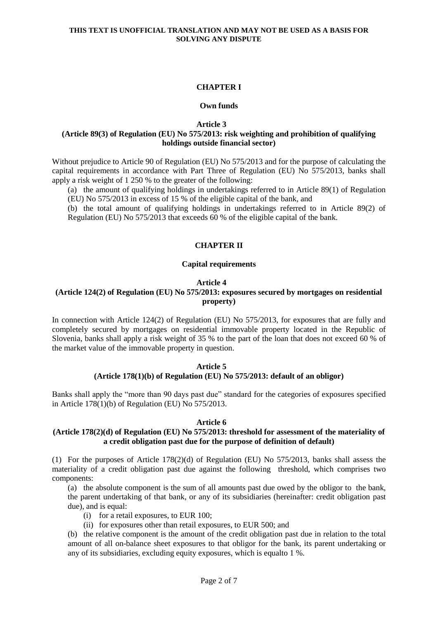# **CHAPTER I**

#### **Own funds**

**Article 3**

# **(Article 89(3) of Regulation (EU) No 575/2013: risk weighting and prohibition of qualifying holdings outside financial sector)**

Without prejudice to Article 90 of Regulation (EU) No 575/2013 and for the purpose of calculating the capital requirements in accordance with Part Three of Regulation (EU) No 575/2013, banks shall apply a risk weight of 1 250 % to the greater of the following:

(a) the amount of qualifying holdings in undertakings referred to in Article 89(1) of Regulation (EU) No 575/2013 in excess of 15 % of the eligible capital of the bank, and

(b) the total amount of qualifying holdings in undertakings referred to in Article 89(2) of Regulation (EU) No 575/2013 that exceeds 60 % of the eligible capital of the bank.

# **CHAPTER II**

#### **Capital requirements**

#### **Article 4**

# **(Article 124(2) of Regulation (EU) No 575/2013: exposures secured by mortgages on residential property)**

In connection with Article 124(2) of Regulation (EU) No 575/2013, for exposures that are fully and completely secured by mortgages on residential immovable property located in the Republic of Slovenia, banks shall apply a risk weight of 35 % to the part of the loan that does not exceed 60 % of the market value of the immovable property in question.

#### **Article 5 (Article 178(1)(b) of Regulation (EU) No 575/2013: default of an obligor)**

Banks shall apply the "more than 90 days past due" standard for the categories of exposures specified in Article 178(1)(b) of Regulation (EU) No 575/2013.

#### **Article 6**

### **(Article 178(2)(d) of Regulation (EU) No 575/2013: threshold for assessment of the materiality of a credit obligation past due for the purpose of definition of default)**

(1) For the purposes of Article 178(2)(d) of Regulation (EU) No 575/2013, banks shall assess the materiality of a credit obligation past due against the following threshold, which comprises two components:

(a) the absolute component is the sum of all amounts past due owed by the obligor to the bank, the parent undertaking of that bank, or any of its subsidiaries (hereinafter: credit obligation past due), and is equal:

- (i) for a retail exposures, to EUR 100;
- (ii) for exposures other than retail exposures, to EUR 500; and

(b) the relative component is the amount of the credit obligation past due in relation to the total amount of all on-balance sheet exposures to that obligor for the bank, its parent undertaking or any of its subsidiaries, excluding equity exposures, which is equalto 1 %.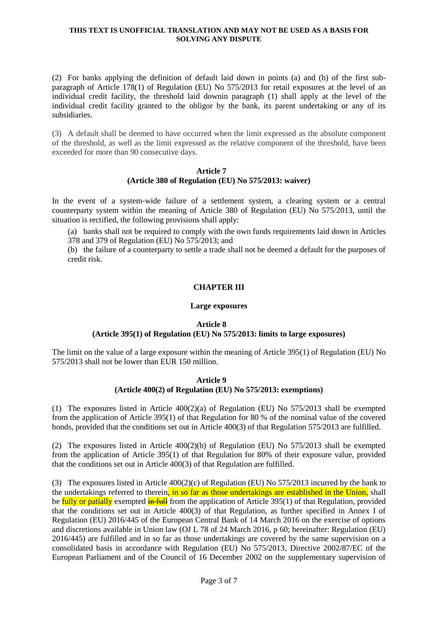(2) For banks applying the definition of default laid down in points (a) and (b) of the first subparagraph of Article 178(1) of Regulation (EU) No 575/2013 for retail exposures at the level of an individual credit facility, the threshold laid downin paragraph (1) shall apply at the level of the individual credit facility granted to the obligor by the bank, its parent undertaking or any of its subsidiaries.

(3) A default shall be deemed to have occurred when the limit expressed as the absolute component of the threshold, as well as the limit expressed as the relative component of the threshold, have been exceeded for more than 90 consecutive days.

#### **Article 7 (Article 380 of Regulation (EU) No 575/2013: waiver)**

In the event of a system-wide failure of a settlement system, a clearing system or a central counterparty system within the meaning of Article 380 of Regulation (EU) No 575/2013, until the situation is rectified, the following provisions shall apply:

(a) banks shall not be required to comply with the own funds requirements laid down in Articles 378 and 379 of Regulation (EU) No 575/2013; and

(b) the failure of a counterparty to settle a trade shall not be deemed a default for the purposes of credit risk.

# **CHAPTER III**

#### **Large exposures**

### **Article 8**

# **(Article 395(1) of Regulation (EU) No 575/2013: limits to large exposures)**

The limit on the value of a large exposure within the meaning of Article 395(1) of Regulation (EU) No 575/2013 shall not be lower than EUR 150 million.

#### **Article 9 (Article 400(2) of Regulation (EU) No 575/2013: exemptions)**

(1) The exposures listed in Article  $400(2)(a)$  of Regulation (EU) No  $575/2013$  shall be exempted from the application of Article 395(1) of that Regulation for 80 % of the nominal value of the covered bonds, provided that the conditions set out in Article 400(3) of that Regulation 575/2013 are fulfilled.

(2) The exposures listed in Article  $400(2)(b)$  of Regulation (EU) No  $575/2013$  shall be exempted from the application of Article 395(1) of that Regulation for 80% of their exposure value, provided that the conditions set out in Article 400(3) of that Regulation are fulfilled.

(3) The exposures listed in Article 400(2)(c) of Regulation (EU) No 575/2013 incurred by the bank to the undertakings referred to therein, in so far as those undertakings are established in the Union, shall be fully or patially exempted  $\frac{1}{n}$  full from the application of Article 395(1) of that Regulation, provided that the conditions set out in Article 400(3) of that Regulation, as further specified in Annex I of Regulation (EU) 2016/445 of the European Central Bank of 14 March 2016 on the exercise of options and discretions available in Union law (OJ L 78 of 24 March 2016, p 60; hereinafter: Regulation (EU) 2016/445) are fulfilled and in so far as those undertakings are covered by the same supervision on a consolidated basis in accordance with Regulation (EU) No 575/2013, Directive 2002/87/EC of the European Parliament and of the Council of 16 December 2002 on the supplementary supervision of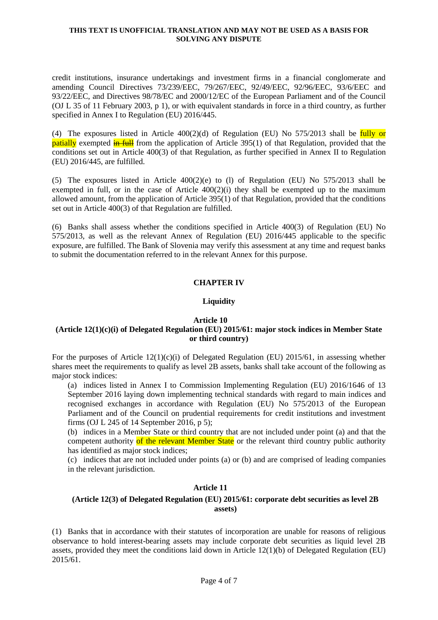credit institutions, insurance undertakings and investment firms in a financial conglomerate and amending Council Directives 73/239/EEC, 79/267/EEC, 92/49/EEC, 92/96/EEC, 93/6/EEC and 93/22/EEC, and Directives 98/78/EC and 2000/12/EC of the European Parliament and of the Council (OJ L 35 of 11 February 2003, p 1), or with equivalent standards in force in a third country, as further specified in Annex I to Regulation (EU) 2016/445.

(4) The exposures listed in Article  $400(2)(d)$  of Regulation (EU) No 575/2013 shall be fully or **patially** exempted  $\frac{d}{dx}$  from the application of Article 395(1) of that Regulation, provided that the conditions set out in Article 400(3) of that Regulation, as further specified in Annex II to Regulation (EU) 2016/445, are fulfilled.

(5) The exposures listed in Article  $400(2)(e)$  to (1) of Regulation (EU) No 575/2013 shall be exempted in full, or in the case of Article 400(2)(i) they shall be exempted up to the maximum allowed amount, from the application of Article 395(1) of that Regulation, provided that the conditions set out in Article 400(3) of that Regulation are fulfilled.

(6) Banks shall assess whether the conditions specified in Article 400(3) of Regulation (EU) No 575/2013, as well as the relevant Annex of Regulation (EU) 2016/445 applicable to the specific exposure, are fulfilled. The Bank of Slovenia may verify this assessment at any time and request banks to submit the documentation referred to in the relevant Annex for this purpose.

# **CHAPTER IV**

# **Liquidity**

### **Article 10**

# **(Article 12(1)(c)(i) of Delegated Regulation (EU) 2015/61: major stock indices in Member State or third country)**

For the purposes of Article  $12(1)(c)(i)$  of Delegated Regulation (EU) 2015/61, in assessing whether shares meet the requirements to qualify as level 2B assets, banks shall take account of the following as major stock indices:

(a) indices listed in Annex I to Commission Implementing Regulation (EU) 2016/1646 of 13 September 2016 laying down implementing technical standards with regard to main indices and recognised exchanges in accordance with Regulation (EU) No 575/2013 of the European Parliament and of the Council on prudential requirements for credit institutions and investment firms (OJ L 245 of 14 September 2016, p 5);

(b) indices in a Member State or third country that are not included under point (a) and that the competent authority of the relevant Member State or the relevant third country public authority has identified as major stock indices;

(c) indices that are not included under points (a) or (b) and are comprised of leading companies in the relevant jurisdiction.

### **Article 11**

# **(Article 12(3) of Delegated Regulation (EU) 2015/61: corporate debt securities as level 2B assets)**

(1) Banks that in accordance with their statutes of incorporation are unable for reasons of religious observance to hold interest-bearing assets may include corporate debt securities as liquid level 2B assets, provided they meet the conditions laid down in Article 12(1)(b) of Delegated Regulation (EU) 2015/61.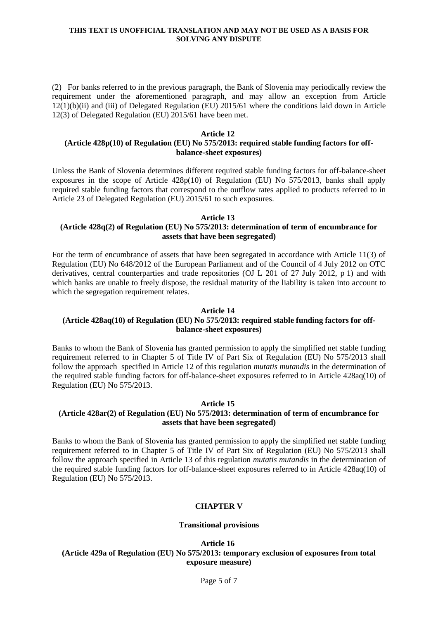(2) For banks referred to in the previous paragraph, the Bank of Slovenia may periodically review the requirement under the aforementioned paragraph, and may allow an exception from Article 12(1)(b)(ii) and (iii) of Delegated Regulation (EU) 2015/61 where the conditions laid down in Article 12(3) of Delegated Regulation (EU) 2015/61 have been met.

#### **Article 12**

# **(Article 428p(10) of Regulation (EU) No 575/2013: required stable funding factors for offbalance-sheet exposures)**

Unless the Bank of Slovenia determines different required stable funding factors for off-balance-sheet exposures in the scope of Article  $428p(10)$  of Regulation (EU) No  $575/2013$ , banks shall apply required stable funding factors that correspond to the outflow rates applied to products referred to in Article 23 of Delegated Regulation (EU) 2015/61 to such exposures.

#### **Article 13 (Article 428q(2) of Regulation (EU) No 575/2013: determination of term of encumbrance for assets that have been segregated)**

For the term of encumbrance of assets that have been segregated in accordance with Article 11(3) of Regulation (EU) No 648/2012 of the European Parliament and of the Council of 4 July 2012 on OTC derivatives, central counterparties and trade repositories (OJ L 201 of 27 July 2012, p 1) and with which banks are unable to freely dispose, the residual maturity of the liability is taken into account to which the segregation requirement relates.

### **Article 14**

# **(Article 428aq(10) of Regulation (EU) No 575/2013: required stable funding factors for offbalance-sheet exposures)**

Banks to whom the Bank of Slovenia has granted permission to apply the simplified net stable funding requirement referred to in Chapter 5 of Title IV of Part Six of Regulation (EU) No 575/2013 shall follow the approach specified in Article 12 of this regulation *mutatis mutandis* in the determination of the required stable funding factors for off-balance-sheet exposures referred to in Article 428aq(10) of Regulation (EU) No 575/2013.

### **Article 15**

### **(Article 428ar(2) of Regulation (EU) No 575/2013: determination of term of encumbrance for assets that have been segregated)**

Banks to whom the Bank of Slovenia has granted permission to apply the simplified net stable funding requirement referred to in Chapter 5 of Title IV of Part Six of Regulation (EU) No 575/2013 shall follow the approach specified in Article 13 of this regulation *mutatis mutandis* in the determination of the required stable funding factors for off-balance-sheet exposures referred to in Article 428aq(10) of Regulation (EU) No 575/2013.

### **CHAPTER V**

### **Transitional provisions**

**Article 16 (Article 429a of Regulation (EU) No 575/2013: temporary exclusion of exposures from total exposure measure)**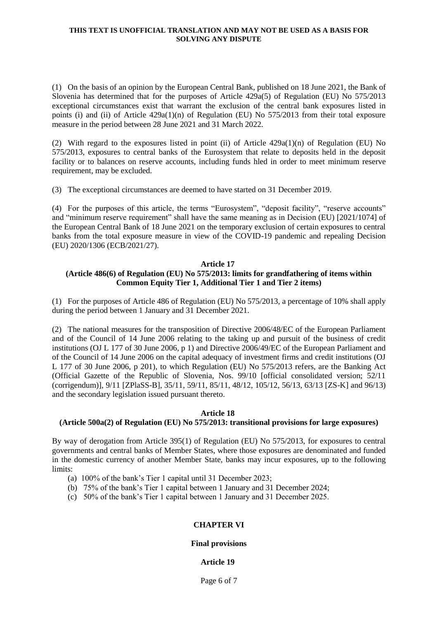(1) On the basis of an opinion by the European Central Bank, published on 18 June 2021, the Bank of Slovenia has determined that for the purposes of Article 429a(5) of Regulation (EU) No 575/2013 exceptional circumstances exist that warrant the exclusion of the central bank exposures listed in points (i) and (ii) of Article 429a(1)(n) of Regulation (EU) No 575/2013 from their total exposure measure in the period between 28 June 2021 and 31 March 2022.

(2) With regard to the exposures listed in point (ii) of Article 429a(1)(n) of Regulation (EU) No 575/2013, exposures to central banks of the Eurosystem that relate to deposits held in the deposit facility or to balances on reserve accounts, including funds hled in order to meet minimum reserve requirement, may be excluded.

(3) The exceptional circumstances are deemed to have started on 31 December 2019.

(4) For the purposes of this article, the terms "Eurosystem", "deposit facility", "reserve accounts" and "minimum reserve requirement" shall have the same meaning as in Decision (EU) [2021/1074] of the European Central Bank of 18 June 2021 on the temporary exclusion of certain exposures to central banks from the total exposure measure in view of the COVID-19 pandemic and repealing Decision (EU) 2020/1306 (ECB/2021/27).

#### **Article 17**

# **(Article 486(6) of Regulation (EU) No 575/2013: limits for grandfathering of items within Common Equity Tier 1, Additional Tier 1 and Tier 2 items)**

(1) For the purposes of Article 486 of Regulation (EU) No 575/2013, a percentage of 10% shall apply during the period between 1 January and 31 December 2021.

(2) The national measures for the transposition of Directive 2006/48/EC of the European Parliament and of the Council of 14 June 2006 relating to the taking up and pursuit of the business of credit institutions (OJ L 177 of 30 June 2006, p 1) and Directive 2006/49/EC of the European Parliament and of the Council of 14 June 2006 on the capital adequacy of investment firms and credit institutions (OJ L 177 of 30 June 2006, p 201), to which Regulation (EU) No 575/2013 refers, are the Banking Act (Official Gazette of the Republic of Slovenia, Nos. 99/10 [official consolidated version; 52/11 (corrigendum)], 9/11 [ZPlaSS-B], 35/11, 59/11, 85/11, 48/12, 105/12, 56/13, 63/13 [ZS-K] and 96/13) and the secondary legislation issued pursuant thereto.

#### **Article 18**

## **(Article 500a(2) of Regulation (EU) No 575/2013: transitional provisions for large exposures)**

By way of derogation from Article 395(1) of Regulation (EU) No 575/2013, for exposures to central governments and central banks of Member States, where those exposures are denominated and funded in the domestic currency of another Member State, banks may incur exposures, up to the following limits:

- (a) 100% of the bank's Tier 1 capital until 31 December 2023;
- (b) 75% of the bank's Tier 1 capital between 1 January and 31 December 2024;
- (c) 50% of the bank's Tier 1 capital between 1 January and 31 December 2025.

### **CHAPTER VI**

### **Final provisions**

#### **Article 19**

Page 6 of 7